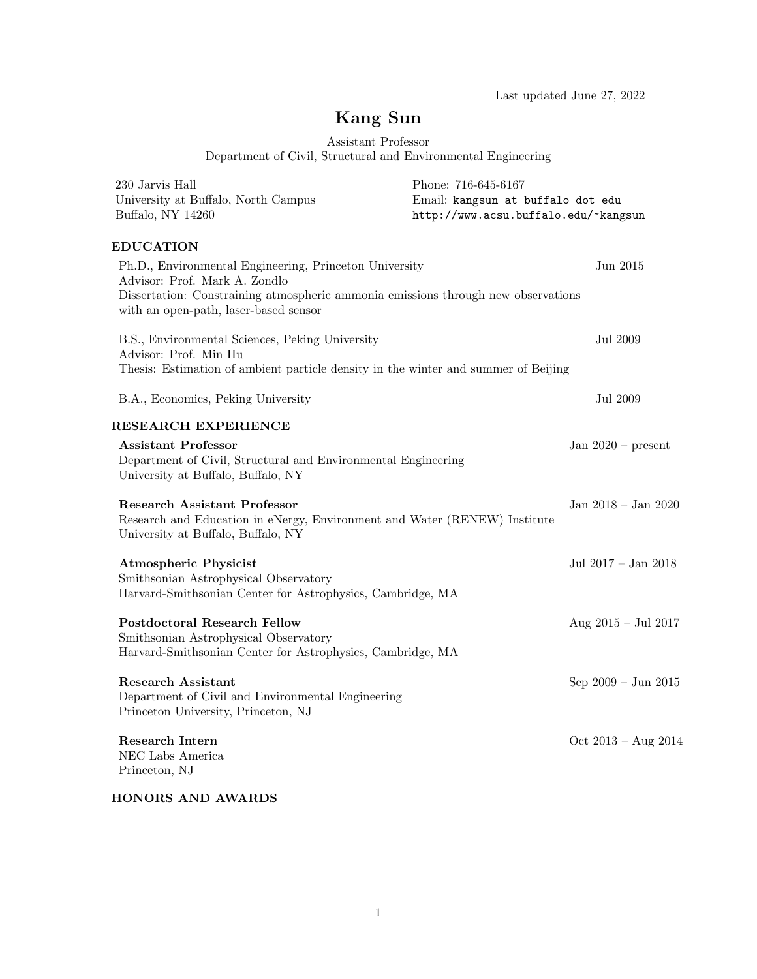Last updated June 27, 2022

# Kang Sun

Assistant Professor

Department of Civil, Structural and Environmental Engineering

| Phone: 716-645-6167<br>Email: kangsun at buffalo dot edu<br>http://www.acsu.buffalo.edu/~kangsun                                            |                               |
|---------------------------------------------------------------------------------------------------------------------------------------------|-------------------------------|
|                                                                                                                                             |                               |
| Ph.D., Environmental Engineering, Princeton University<br>Dissertation: Constraining atmospheric ammonia emissions through new observations | Jun 2015                      |
| Thesis: Estimation of ambient particle density in the winter and summer of Beijing                                                          | <b>Jul 2009</b>               |
|                                                                                                                                             | Jul 2009                      |
|                                                                                                                                             |                               |
| Department of Civil, Structural and Environmental Engineering                                                                               | Jan $2020$ – present          |
| Research and Education in eNergy, Environment and Water (RENEW) Institute                                                                   | Jan 2018 - Jan 2020           |
| Harvard-Smithsonian Center for Astrophysics, Cambridge, MA                                                                                  | Jul 2017 - Jan 2018           |
| Harvard-Smithsonian Center for Astrophysics, Cambridge, MA                                                                                  | Aug 2015 - Jul 2017           |
| Department of Civil and Environmental Engineering                                                                                           | Sep $2009 - \text{Jun } 2015$ |
|                                                                                                                                             | Oct $2013 - Aug 2014$         |
|                                                                                                                                             |                               |

HONORS AND AWARDS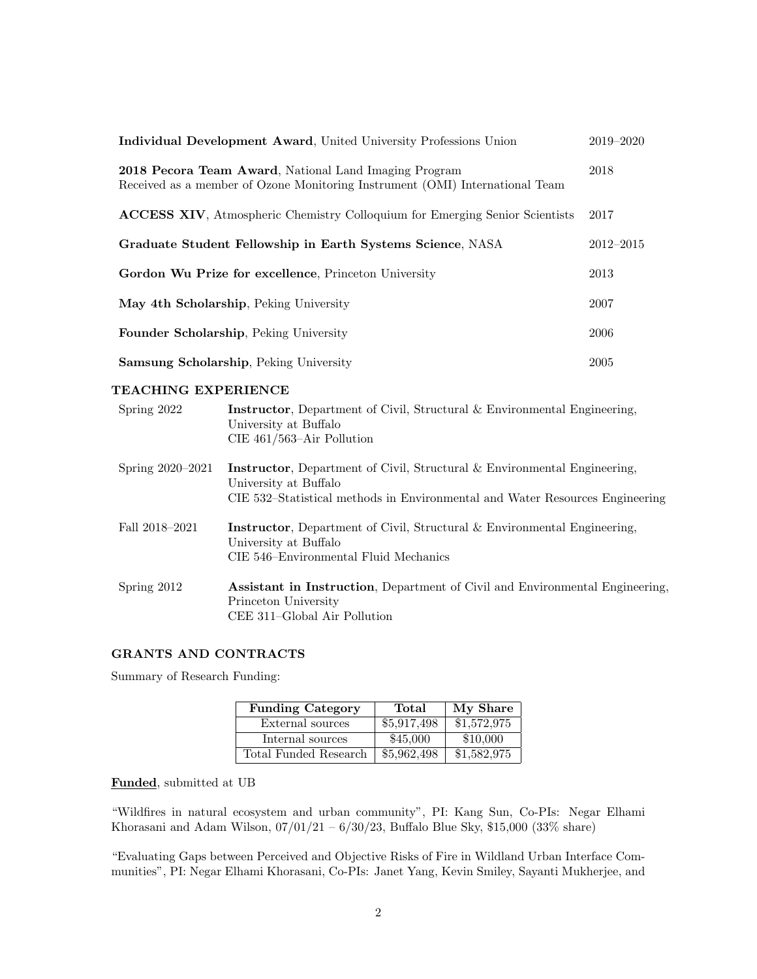| Individual Development Award, United University Professions Union                                                                            | $2019 - 2020$ |
|----------------------------------------------------------------------------------------------------------------------------------------------|---------------|
| <b>2018 Pecora Team Award, National Land Imaging Program</b><br>Received as a member of Ozone Monitoring Instrument (OMI) International Team | 2018          |
| <b>ACCESS XIV</b> , Atmospheric Chemistry Colloquium for Emerging Senior Scientists                                                          | 2017          |
| Graduate Student Fellowship in Earth Systems Science, NASA                                                                                   | $2012 - 2015$ |
| Gordon Wu Prize for excellence, Princeton University                                                                                         | 2013          |
| May 4th Scholarship, Peking University                                                                                                       | 2007          |
| Founder Scholarship, Peking University                                                                                                       | 2006          |
| <b>Samsung Scholarship</b> , Peking University                                                                                               | 2005          |

# TEACHING EXPERIENCE

| Spring 2022          | <b>Instructor</b> , Department of Civil, Structural & Environmental Engineering,<br>University at Buffalo<br>CIE $461/563$ –Air Pollution                                                 |
|----------------------|-------------------------------------------------------------------------------------------------------------------------------------------------------------------------------------------|
| Spring $2020 - 2021$ | <b>Instructor</b> , Department of Civil, Structural & Environmental Engineering,<br>University at Buffalo<br>CIE 532–Statistical methods in Environmental and Water Resources Engineering |
| Fall 2018–2021       | <b>Instructor</b> , Department of Civil, Structural & Environmental Engineering,<br>University at Buffalo<br>CIE 546–Environmental Fluid Mechanics                                        |
| Spring 2012          | <b>Assistant in Instruction</b> , Department of Civil and Environmental Engineering,<br>Princeton University<br>CEE 311–Global Air Pollution                                              |

# GRANTS AND CONTRACTS

Summary of Research Funding:

| <b>Funding Category</b> | Total       | My Share    |
|-------------------------|-------------|-------------|
| External sources        | \$5,917,498 | \$1,572,975 |
| Internal sources        | \$45,000    | \$10,000    |
| Total Funded Research   | \$5,962,498 | \$1,582,975 |

# Funded, submitted at UB

"Wildfires in natural ecosystem and urban community", PI: Kang Sun, Co-PIs: Negar Elhami Khorasani and Adam Wilson,  $07/01/21 - 6/30/23$ , Buffalo Blue Sky, \$15,000 (33% share)

"Evaluating Gaps between Perceived and Objective Risks of Fire in Wildland Urban Interface Communities", PI: Negar Elhami Khorasani, Co-PIs: Janet Yang, Kevin Smiley, Sayanti Mukherjee, and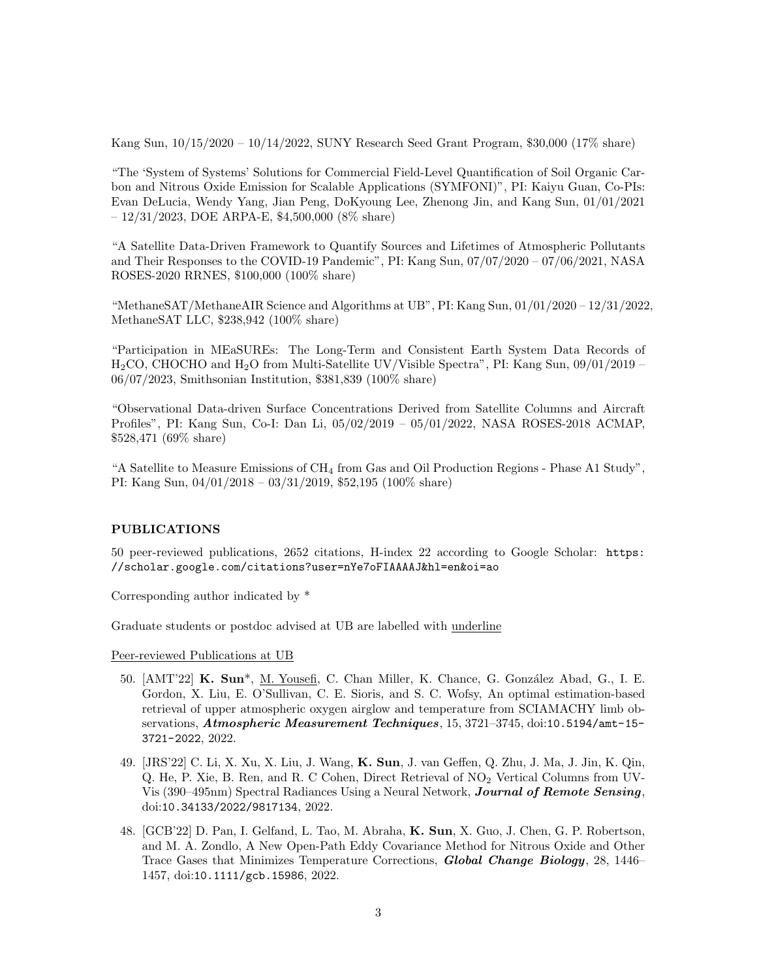Kang Sun, 10/15/2020 – 10/14/2022, SUNY Research Seed Grant Program, \$30,000 (17% share)

"The 'System of Systems' Solutions for Commercial Field-Level Quantification of Soil Organic Carbon and Nitrous Oxide Emission for Scalable Applications (SYMFONI)", PI: Kaiyu Guan, Co-PIs: Evan DeLucia, Wendy Yang, Jian Peng, DoKyoung Lee, Zhenong Jin, and Kang Sun, 01/01/2021  $-12/31/2023$ , DOE ARPA-E, \$4,500,000 (8% share)

"A Satellite Data-Driven Framework to Quantify Sources and Lifetimes of Atmospheric Pollutants and Their Responses to the COVID-19 Pandemic", PI: Kang Sun, 07/07/2020 – 07/06/2021, NASA ROSES-2020 RRNES, \$100,000 (100% share)

"MethaneSAT/MethaneAIR Science and Algorithms at UB", PI: Kang Sun, 01/01/2020 – 12/31/2022, MethaneSAT LLC, \$238,942 (100% share)

"Participation in MEaSUREs: The Long-Term and Consistent Earth System Data Records of H2CO, CHOCHO and H2O from Multi-Satellite UV/Visible Spectra", PI: Kang Sun, 09/01/2019 – 06/07/2023, Smithsonian Institution, \$381,839 (100% share)

"Observational Data-driven Surface Concentrations Derived from Satellite Columns and Aircraft Profiles", PI: Kang Sun, Co-I: Dan Li, 05/02/2019 – 05/01/2022, NASA ROSES-2018 ACMAP, \$528,471 (69% share)

"A Satellite to Measure Emissions of  $CH_4$  from Gas and Oil Production Regions - Phase A1 Study", PI: Kang Sun, 04/01/2018 – 03/31/2019, \$52,195 (100% share)

### PUBLICATIONS

50 peer-reviewed publications, 2652 citations, H-index 22 according to Google Scholar: [https:](https://scholar.google.com/citations?user=nYe7oFIAAAAJ&hl=en&oi=ao) [//scholar.google.com/citations?user=nYe7oFIAAAAJ&hl=en&oi=ao](https://scholar.google.com/citations?user=nYe7oFIAAAAJ&hl=en&oi=ao)

Corresponding author indicated by \*

Graduate students or postdoc advised at UB are labelled with underline

Peer-reviewed Publications at UB

- 50. [AMT'22] K. Sun<sup>\*</sup>, <u>M. Yousefi</u>, C. Chan Miller, K. Chance, G. González Abad, G., I. E. Gordon, X. Liu, E. O'Sullivan, C. E. Sioris, and S. C. Wofsy, An optimal estimation-based retrieval of upper atmospheric oxygen airglow and temperature from SCIAMACHY limb observations, Atmospheric Measurement Techniques, 15, 3721–3745, doi:10.5194/amt-15- 3721-2022, 2022.
- 49. [JRS'22] C. Li, X. Xu, X. Liu, J. Wang, K. Sun, J. van Geffen, Q. Zhu, J. Ma, J. Jin, K. Qin, Q. He, P. Xie, B. Ren, and R. C Cohen, Direct Retrieval of NO<sup>2</sup> Vertical Columns from UV-Vis (390–495nm) Spectral Radiances Using a Neural Network, Journal of Remote Sensing, doi:10.34133/2022/9817134, 2022.
- 48. [GCB'22] D. Pan, I. Gelfand, L. Tao, M. Abraha, K. Sun, X. Guo, J. Chen, G. P. Robertson, and M. A. Zondlo, A New Open-Path Eddy Covariance Method for Nitrous Oxide and Other Trace Gases that Minimizes Temperature Corrections, Global Change Biology, 28, 1446– 1457, doi:10.1111/gcb.15986, 2022.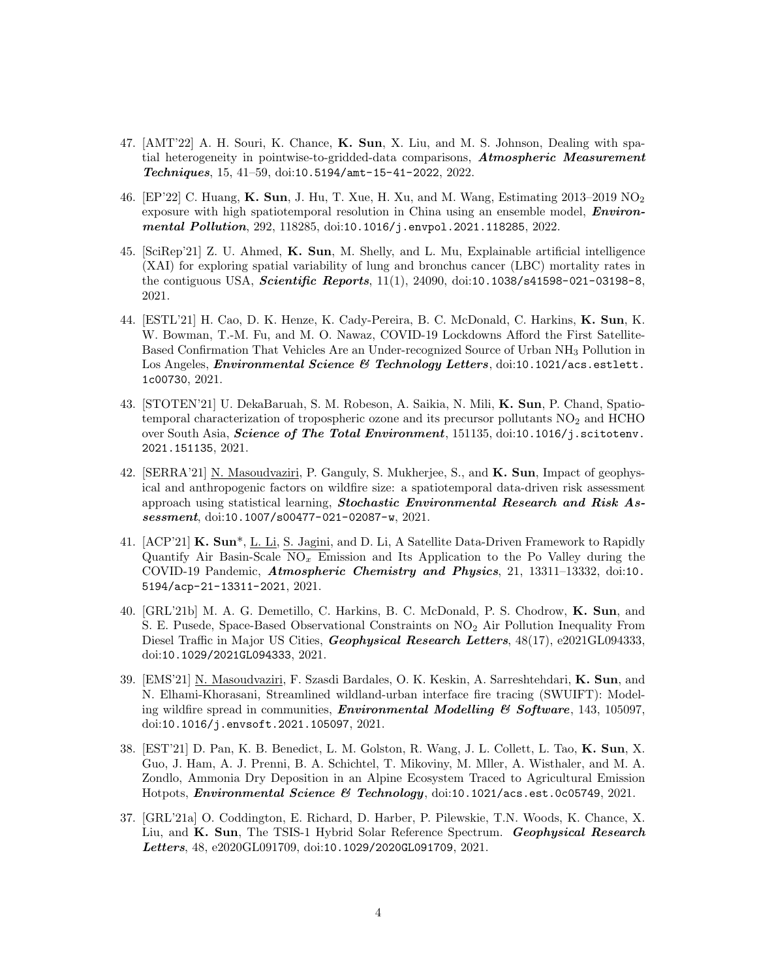- 47. [AMT'22] A. H. Souri, K. Chance, K. Sun, X. Liu, and M. S. Johnson, Dealing with spatial heterogeneity in pointwise-to-gridded-data comparisons, Atmospheric Measurement Techniques, 15, 41–59, doi:10.5194/amt-15-41-2022, 2022.
- 46. [EP'22] C. Huang, K. Sun, J. Hu, T. Xue, H. Xu, and M. Wang, Estimating 2013–2019 NO<sup>2</sup> exposure with high spatiotemporal resolution in China using an ensemble model, **Environ**mental Pollution, 292, 118285, doi:10.1016/j.envpol.2021.118285, 2022.
- 45. [SciRep'21] Z. U. Ahmed, K. Sun, M. Shelly, and L. Mu, Explainable artificial intelligence (XAI) for exploring spatial variability of lung and bronchus cancer (LBC) mortality rates in the contiguous USA, *Scientific Reports*,  $11(1)$ ,  $24090$ , doi:10.1038/s41598-021-03198-8, 2021.
- 44. [ESTL'21] H. Cao, D. K. Henze, K. Cady-Pereira, B. C. McDonald, C. Harkins, K. Sun, K. W. Bowman, T.-M. Fu, and M. O. Nawaz, COVID-19 Lockdowns Afford the First Satellite-Based Confirmation That Vehicles Are an Under-recognized Source of Urban NH<sup>3</sup> Pollution in Los Angeles, *Environmental Science & Technology Letters*, doi:10.1021/acs.estlett. 1c00730, 2021.
- 43. [STOTEN'21] U. DekaBaruah, S. M. Robeson, A. Saikia, N. Mili, K. Sun, P. Chand, Spatiotemporal characterization of tropospheric ozone and its precursor pollutants  $\mathrm{NO}_2$  and HCHO over South Asia, Science of The Total Environment, 151135, doi:10.1016/j.scitotenv. 2021.151135, 2021.
- 42. [SERRA'21] N. Masoudvaziri, P. Ganguly, S. Mukherjee, S., and K. Sun, Impact of geophysical and anthropogenic factors on wildfire size: a spatiotemporal data-driven risk assessment approach using statistical learning, Stochastic Environmental Research and Risk Assessment, doi:10.1007/s00477-021-02087-w, 2021.
- 41. [ACP'21] K. Sun\*, L. Li, S. Jagini, and D. Li, A Satellite Data-Driven Framework to Rapidly Quantify Air Basin-Scale  $NO<sub>x</sub>$  Emission and Its Application to the Po Valley during the COVID-19 Pandemic, Atmospheric Chemistry and Physics, 21, 13311–13332, doi:10. 5194/acp-21-13311-2021, 2021.
- 40. [GRL'21b] M. A. G. Demetillo, C. Harkins, B. C. McDonald, P. S. Chodrow, K. Sun, and S. E. Pusede, Space-Based Observational Constraints on NO<sup>2</sup> Air Pollution Inequality From Diesel Traffic in Major US Cities, Geophysical Research Letters,  $48(17)$ , e2021GL094333, doi:10.1029/2021GL094333, 2021.
- 39. [EMS'21] N. Masoudvaziri, F. Szasdi Bardales, O. K. Keskin, A. Sarreshtehdari, K. Sun, and N. Elhami-Khorasani, Streamlined wildland-urban interface fire tracing (SWUIFT): Modeling wildfire spread in communities, **Environmental Modelling & Software**, 143, 105097, doi:10.1016/j.envsoft.2021.105097, 2021.
- 38. [EST'21] D. Pan, K. B. Benedict, L. M. Golston, R. Wang, J. L. Collett, L. Tao, K. Sun, X. Guo, J. Ham, A. J. Prenni, B. A. Schichtel, T. Mikoviny, M. Mller, A. Wisthaler, and M. A. Zondlo, Ammonia Dry Deposition in an Alpine Ecosystem Traced to Agricultural Emission Hotpots, Environmental Science & Technology, doi:10.1021/acs.est.0c05749, 2021.
- 37. [GRL'21a] O. Coddington, E. Richard, D. Harber, P. Pilewskie, T.N. Woods, K. Chance, X. Liu, and K. Sun, The TSIS-1 Hybrid Solar Reference Spectrum. Geophysical Research Letters, 48, e2020GL091709, doi:10.1029/2020GL091709, 2021.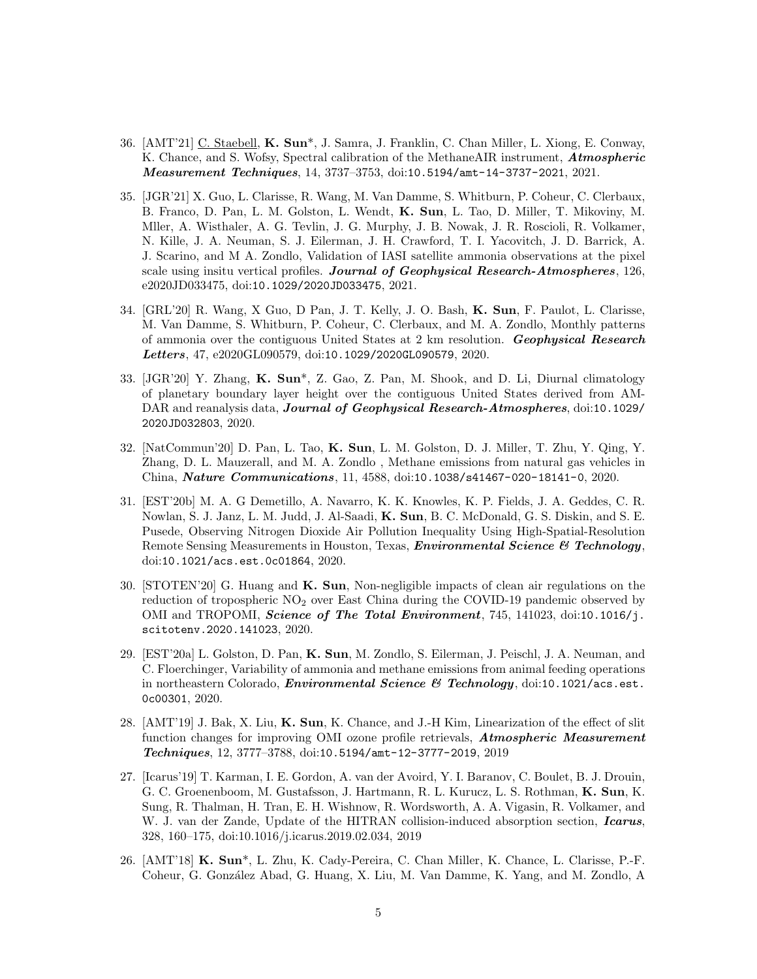- 36. [AMT'21] C. Staebell, K. Sun\*, J. Samra, J. Franklin, C. Chan Miller, L. Xiong, E. Conway, K. Chance, and S. Wofsy, Spectral calibration of the MethaneAIR instrument, **Atmospheric** Measurement Techniques, 14, 3737–3753, doi:10.5194/amt-14-3737-2021, 2021.
- 35. [JGR'21] X. Guo, L. Clarisse, R. Wang, M. Van Damme, S. Whitburn, P. Coheur, C. Clerbaux, B. Franco, D. Pan, L. M. Golston, L. Wendt, K. Sun, L. Tao, D. Miller, T. Mikoviny, M. Mller, A. Wisthaler, A. G. Tevlin, J. G. Murphy, J. B. Nowak, J. R. Roscioli, R. Volkamer, N. Kille, J. A. Neuman, S. J. Eilerman, J. H. Crawford, T. I. Yacovitch, J. D. Barrick, A. J. Scarino, and M A. Zondlo, Validation of IASI satellite ammonia observations at the pixel scale using insitu vertical profiles. Journal of Geophysical Research-Atmospheres, 126, e2020JD033475, doi:10.1029/2020JD033475, 2021.
- 34. [GRL'20] R. Wang, X Guo, D Pan, J. T. Kelly, J. O. Bash, K. Sun, F. Paulot, L. Clarisse, M. Van Damme, S. Whitburn, P. Coheur, C. Clerbaux, and M. A. Zondlo, Monthly patterns of ammonia over the contiguous United States at 2 km resolution. Geophysical Research Letters, 47, e2020GL090579, doi:10.1029/2020GL090579, 2020.
- 33. [JGR'20] Y. Zhang, K. Sun\*, Z. Gao, Z. Pan, M. Shook, and D. Li, Diurnal climatology of planetary boundary layer height over the contiguous United States derived from AM-DAR and reanalysis data, **Journal of Geophysical Research-Atmospheres**, doi:10.1029/ 2020JD032803, 2020.
- 32. [NatCommun'20] D. Pan, L. Tao, K. Sun, L. M. Golston, D. J. Miller, T. Zhu, Y. Qing, Y. Zhang, D. L. Mauzerall, and M. A. Zondlo , Methane emissions from natural gas vehicles in China, Nature Communications, 11, 4588, doi:10.1038/s41467-020-18141-0, 2020.
- 31. [EST'20b] M. A. G Demetillo, A. Navarro, K. K. Knowles, K. P. Fields, J. A. Geddes, C. R. Nowlan, S. J. Janz, L. M. Judd, J. Al-Saadi, K. Sun, B. C. McDonald, G. S. Diskin, and S. E. Pusede, Observing Nitrogen Dioxide Air Pollution Inequality Using High-Spatial-Resolution Remote Sensing Measurements in Houston, Texas, *Environmental Science & Technology*, doi:10.1021/acs.est.0c01864, 2020.
- 30. [STOTEN'20] G. Huang and K. Sun, Non-negligible impacts of clean air regulations on the reduction of tropospheric  $NO<sub>2</sub>$  over East China during the COVID-19 pandemic observed by OMI and TROPOMI, Science of The Total Environment, 745, 141023, doi:10.1016/j. scitotenv.2020.141023, 2020.
- 29. [EST'20a] L. Golston, D. Pan, K. Sun, M. Zondlo, S. Eilerman, J. Peischl, J. A. Neuman, and C. Floerchinger, Variability of ammonia and methane emissions from animal feeding operations in northeastern Colorado, *Environmental Science* & Technology, doi:10.1021/acs.est. 0c00301, 2020.
- 28. [AMT'19] J. Bak, X. Liu, K. Sun, K. Chance, and J.-H Kim, Linearization of the effect of slit function changes for improving OMI ozone profile retrievals, **Atmospheric Measurement** Techniques, 12, 3777–3788, doi:10.5194/amt-12-3777-2019, 2019
- 27. [Icarus'19] T. Karman, I. E. Gordon, A. van der Avoird, Y. I. Baranov, C. Boulet, B. J. Drouin, G. C. Groenenboom, M. Gustafsson, J. Hartmann, R. L. Kurucz, L. S. Rothman, K. Sun, K. Sung, R. Thalman, H. Tran, E. H. Wishnow, R. Wordsworth, A. A. Vigasin, R. Volkamer, and W. J. van der Zande, Update of the HITRAN collision-induced absorption section, *Icarus*, 328, 160–175, doi:10.1016/j.icarus.2019.02.034, 2019
- 26. [AMT'18] K. Sun\*, L. Zhu, K. Cady-Pereira, C. Chan Miller, K. Chance, L. Clarisse, P.-F. Coheur, G. Gonz´alez Abad, G. Huang, X. Liu, M. Van Damme, K. Yang, and M. Zondlo, A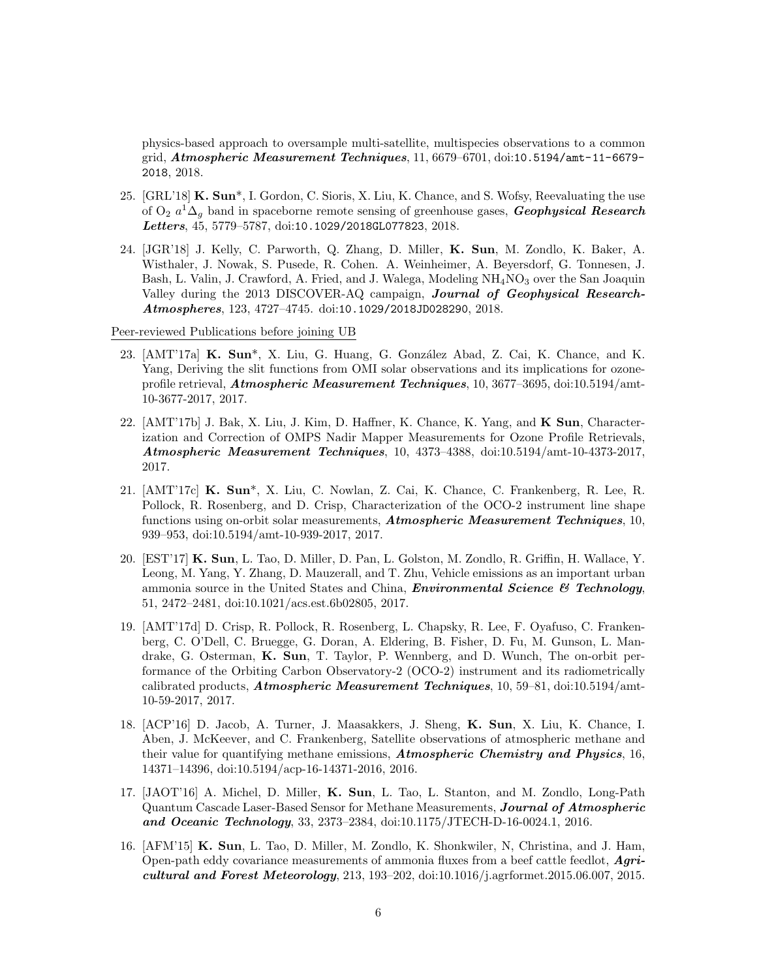physics-based approach to oversample multi-satellite, multispecies observations to a common grid, Atmospheric Measurement Techniques, 11, 6679–6701, doi:10.5194/amt-11-6679- 2018, 2018.

- 25. [GRL'18] K. Sun\*, I. Gordon, C. Sioris, X. Liu, K. Chance, and S. Wofsy, Reevaluating the use of O<sub>2</sub>  $a^1\Delta_g$  band in spaceborne remote sensing of greenhouse gases, **Geophysical Research** Letters, 45, 5779–5787, doi:10.1029/2018GL077823, 2018.
- 24. [JGR'18] J. Kelly, C. Parworth, Q. Zhang, D. Miller, K. Sun, M. Zondlo, K. Baker, A. Wisthaler, J. Nowak, S. Pusede, R. Cohen. A. Weinheimer, A. Beyersdorf, G. Tonnesen, J. Bash, L. Valin, J. Crawford, A. Fried, and J. Walega, Modeling  $NH<sub>4</sub>NO<sub>3</sub>$  over the San Joaquin Valley during the 2013 DISCOVER-AQ campaign, Journal of Geophysical Research-Atmospheres, 123, 4727–4745. doi:10.1029/2018JD028290, 2018.

Peer-reviewed Publications before joining UB

- 23. [AMT'17a] K. Sun<sup>\*</sup>, X. Liu, G. Huang, G. González Abad, Z. Cai, K. Chance, and K. Yang, Deriving the slit functions from OMI solar observations and its implications for ozoneprofile retrieval, Atmospheric Measurement Techniques, 10, 3677–3695, doi:10.5194/amt-10-3677-2017, 2017.
- 22. [AMT'17b] J. Bak, X. Liu, J. Kim, D. Haffner, K. Chance, K. Yang, and K Sun, Characterization and Correction of OMPS Nadir Mapper Measurements for Ozone Profile Retrievals, Atmospheric Measurement Techniques, 10, 4373–4388, doi:10.5194/amt-10-4373-2017, 2017.
- 21. [AMT'17c] K. Sun\*, X. Liu, C. Nowlan, Z. Cai, K. Chance, C. Frankenberg, R. Lee, R. Pollock, R. Rosenberg, and D. Crisp, Characterization of the OCO-2 instrument line shape functions using on-orbit solar measurements, **Atmospheric Measurement Techniques**, 10, 939–953, doi:10.5194/amt-10-939-2017, 2017.
- 20. [EST'17] K. Sun, L. Tao, D. Miller, D. Pan, L. Golston, M. Zondlo, R. Griffin, H. Wallace, Y. Leong, M. Yang, Y. Zhang, D. Mauzerall, and T. Zhu, Vehicle emissions as an important urban ammonia source in the United States and China, **Environmental Science & Technology**, 51, 2472–2481, doi:10.1021/acs.est.6b02805, 2017.
- 19. [AMT'17d] D. Crisp, R. Pollock, R. Rosenberg, L. Chapsky, R. Lee, F. Oyafuso, C. Frankenberg, C. O'Dell, C. Bruegge, G. Doran, A. Eldering, B. Fisher, D. Fu, M. Gunson, L. Mandrake, G. Osterman, K. Sun, T. Taylor, P. Wennberg, and D. Wunch, The on-orbit performance of the Orbiting Carbon Observatory-2 (OCO-2) instrument and its radiometrically calibrated products, **Atmospheric Measurement Techniques**,  $10, 59-81, \text{doi:10.5194/amt-}$ 10-59-2017, 2017.
- 18. [ACP'16] D. Jacob, A. Turner, J. Maasakkers, J. Sheng, K. Sun, X. Liu, K. Chance, I. Aben, J. McKeever, and C. Frankenberg, Satellite observations of atmospheric methane and their value for quantifying methane emissions, **Atmospheric Chemistry and Physics**, 16, 14371–14396, doi:10.5194/acp-16-14371-2016, 2016.
- 17. [JAOT'16] A. Michel, D. Miller, K. Sun, L. Tao, L. Stanton, and M. Zondlo, Long-Path Quantum Cascade Laser-Based Sensor for Methane Measurements, Journal of Atmospheric and Oceanic Technology, 33, 2373–2384, doi:10.1175/JTECH-D-16-0024.1, 2016.
- 16. [AFM'15] K. Sun, L. Tao, D. Miller, M. Zondlo, K. Shonkwiler, N, Christina, and J. Ham, Open-path eddy covariance measurements of ammonia fluxes from a beef cattle feedlot, Agricultural and Forest Meteorology, 213, 193–202, doi:10.1016/j.agrformet.2015.06.007, 2015.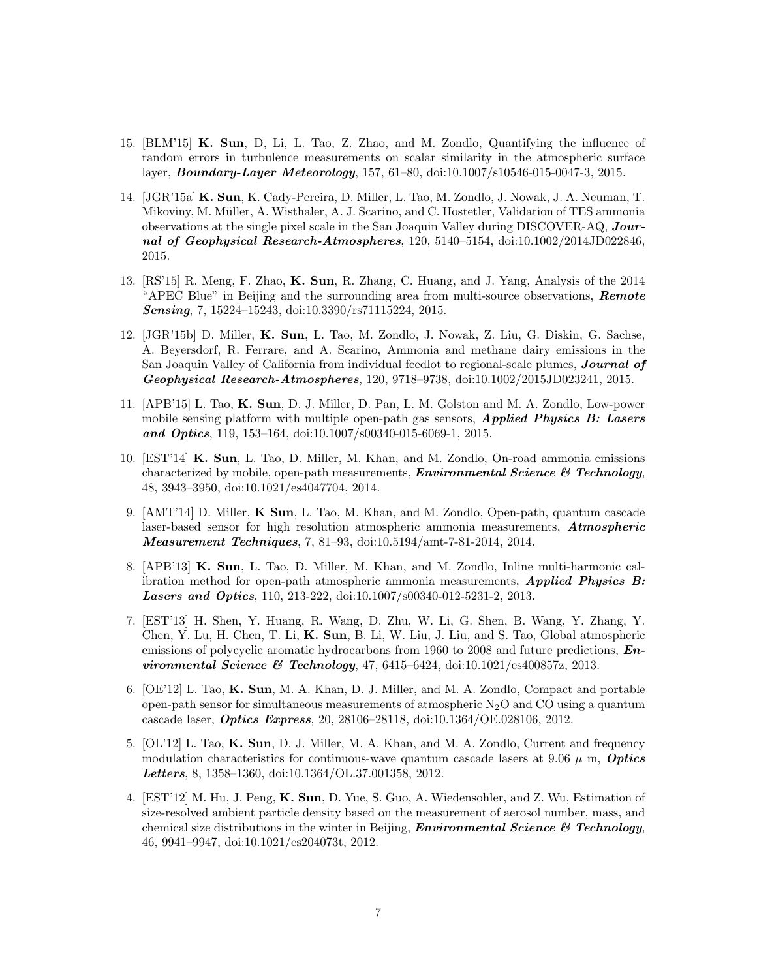- 15. [BLM'15] K. Sun, D, Li, L. Tao, Z. Zhao, and M. Zondlo, Quantifying the influence of random errors in turbulence measurements on scalar similarity in the atmospheric surface layer, Boundary-Layer Meteorology, 157, 61–80, doi:10.1007/s10546-015-0047-3, 2015.
- 14. [JGR'15a] K. Sun, K. Cady-Pereira, D. Miller, L. Tao, M. Zondlo, J. Nowak, J. A. Neuman, T. Mikoviny, M. Müller, A. Wisthaler, A. J. Scarino, and C. Hostetler, Validation of TES ammonia observations at the single pixel scale in the San Joaquin Valley during DISCOVER-AQ, Journal of Geophysical Research-Atmospheres, 120, 5140–5154, doi:10.1002/2014JD022846, 2015.
- 13. [RS'15] R. Meng, F. Zhao, K. Sun, R. Zhang, C. Huang, and J. Yang, Analysis of the 2014 "APEC Blue" in Beijing and the surrounding area from multi-source observations, **Remote** Sensing, 7, 15224-15243, doi:10.3390/rs71115224, 2015.
- 12. [JGR'15b] D. Miller, K. Sun, L. Tao, M. Zondlo, J. Nowak, Z. Liu, G. Diskin, G. Sachse, A. Beyersdorf, R. Ferrare, and A. Scarino, Ammonia and methane dairy emissions in the San Joaquin Valley of California from individual feedlot to regional-scale plumes, **Journal of** Geophysical Research-Atmospheres, 120, 9718–9738, doi:10.1002/2015JD023241, 2015.
- 11. [APB'15] L. Tao, K. Sun, D. J. Miller, D. Pan, L. M. Golston and M. A. Zondlo, Low-power mobile sensing platform with multiple open-path gas sensors, **Applied Physics B:** Lasers and Optics, 119, 153-164, doi:10.1007/s00340-015-6069-1, 2015.
- 10. [EST'14] K. Sun, L. Tao, D. Miller, M. Khan, and M. Zondlo, On-road ammonia emissions characterized by mobile, open-path measurements, **Environmental Science**  $\mathcal{B}$  **Technology**, 48, 3943–3950, doi:10.1021/es4047704, 2014.
- 9. [AMT'14] D. Miller, K Sun, L. Tao, M. Khan, and M. Zondlo, Open-path, quantum cascade laser-based sensor for high resolution atmospheric ammonia measurements, Atmospheric Measurement Techniques, 7, 81–93, doi:10.5194/amt-7-81-2014, 2014.
- 8. [APB'13] K. Sun, L. Tao, D. Miller, M. Khan, and M. Zondlo, Inline multi-harmonic calibration method for open-path atmospheric ammonia measurements, **Applied Physics B:** Lasers and Optics, 110, 213-222, doi:10.1007/s00340-012-5231-2, 2013.
- 7. [EST'13] H. Shen, Y. Huang, R. Wang, D. Zhu, W. Li, G. Shen, B. Wang, Y. Zhang, Y. Chen, Y. Lu, H. Chen, T. Li, K. Sun, B. Li, W. Liu, J. Liu, and S. Tao, Global atmospheric emissions of polycyclic aromatic hydrocarbons from 1960 to 2008 and future predictions, **En***vironmental Science & Technology*,  $47, 6415-6424, \text{doi: } 10.1021/\text{es}400857z, 2013.$
- 6. [OE'12] L. Tao, K. Sun, M. A. Khan, D. J. Miller, and M. A. Zondlo, Compact and portable open-path sensor for simultaneous measurements of atmospheric  $N_2O$  and  $CO$  using a quantum cascade laser, Optics Express, 20, 28106–28118, doi:10.1364/OE.028106, 2012.
- 5. [OL'12] L. Tao, K. Sun, D. J. Miller, M. A. Khan, and M. A. Zondlo, Current and frequency modulation characteristics for continuous-wave quantum cascade lasers at 9.06  $\mu$  m, *Optics* Letters, 8, 1358–1360, doi:10.1364/OL.37.001358, 2012.
- 4. [EST'12] M. Hu, J. Peng, K. Sun, D. Yue, S. Guo, A. Wiedensohler, and Z. Wu, Estimation of size-resolved ambient particle density based on the measurement of aerosol number, mass, and chemical size distributions in the winter in Beijing, *Environmental Science*  $\mathcal{C}$  *Technology*, 46, 9941–9947, doi:10.1021/es204073t, 2012.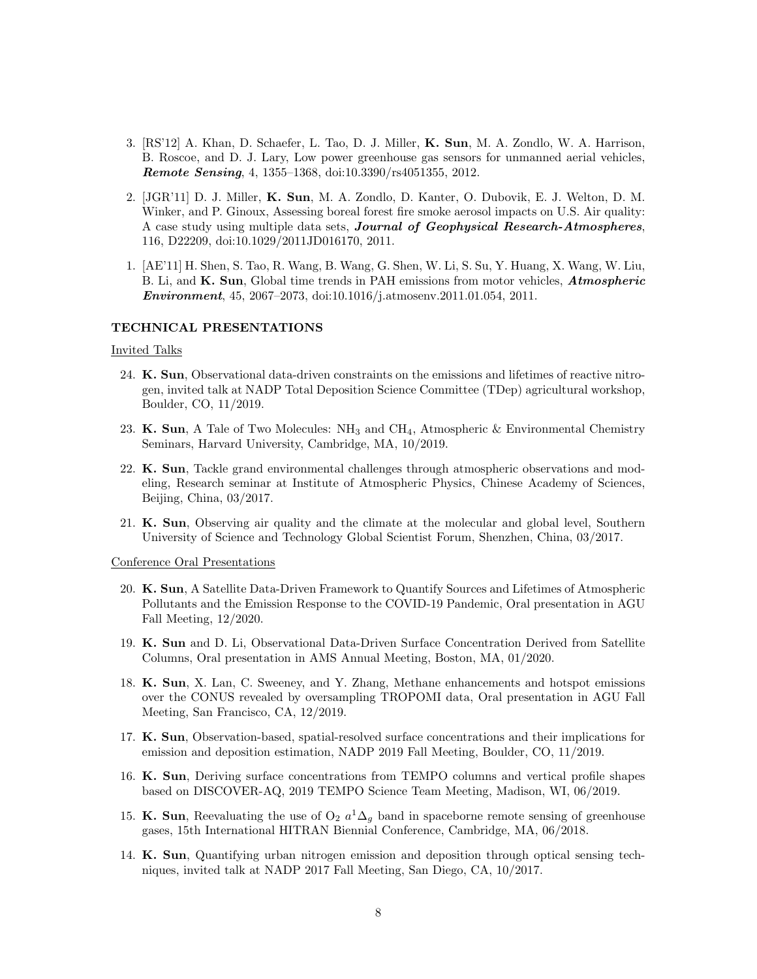- 3. [RS'12] A. Khan, D. Schaefer, L. Tao, D. J. Miller, K. Sun, M. A. Zondlo, W. A. Harrison, B. Roscoe, and D. J. Lary, Low power greenhouse gas sensors for unmanned aerial vehicles, Remote Sensing, 4, 1355–1368, doi:10.3390/rs4051355, 2012.
- 2. [JGR'11] D. J. Miller, K. Sun, M. A. Zondlo, D. Kanter, O. Dubovik, E. J. Welton, D. M. Winker, and P. Ginoux, Assessing boreal forest fire smoke aerosol impacts on U.S. Air quality: A case study using multiple data sets, Journal of Geophysical Research-Atmospheres, 116, D22209, doi:10.1029/2011JD016170, 2011.
- 1. [AE'11] H. Shen, S. Tao, R. Wang, B. Wang, G. Shen, W. Li, S. Su, Y. Huang, X. Wang, W. Liu, B. Li, and K. Sun, Global time trends in PAH emissions from motor vehicles, *Atmospheric* Environment, 45, 2067–2073, doi:10.1016/j.atmosenv.2011.01.054, 2011.

#### TECHNICAL PRESENTATIONS

#### Invited Talks

- 24. K. Sun, Observational data-driven constraints on the emissions and lifetimes of reactive nitrogen, invited talk at NADP Total Deposition Science Committee (TDep) agricultural workshop, Boulder, CO, 11/2019.
- 23. K. Sun, A Tale of Two Molecules:  $NH_3$  and  $CH_4$ , Atmospheric & Environmental Chemistry Seminars, Harvard University, Cambridge, MA, 10/2019.
- 22. K. Sun, Tackle grand environmental challenges through atmospheric observations and modeling, Research seminar at Institute of Atmospheric Physics, Chinese Academy of Sciences, Beijing, China, 03/2017.
- 21. K. Sun, Observing air quality and the climate at the molecular and global level, Southern University of Science and Technology Global Scientist Forum, Shenzhen, China, 03/2017.

Conference Oral Presentations

- 20. K. Sun, A Satellite Data-Driven Framework to Quantify Sources and Lifetimes of Atmospheric Pollutants and the Emission Response to the COVID-19 Pandemic, Oral presentation in AGU Fall Meeting, 12/2020.
- 19. K. Sun and D. Li, Observational Data-Driven Surface Concentration Derived from Satellite Columns, Oral presentation in AMS Annual Meeting, Boston, MA, 01/2020.
- 18. K. Sun, X. Lan, C. Sweeney, and Y. Zhang, Methane enhancements and hotspot emissions over the CONUS revealed by oversampling TROPOMI data, Oral presentation in AGU Fall Meeting, San Francisco, CA, 12/2019.
- 17. K. Sun, Observation-based, spatial-resolved surface concentrations and their implications for emission and deposition estimation, NADP 2019 Fall Meeting, Boulder, CO, 11/2019.
- 16. K. Sun, Deriving surface concentrations from TEMPO columns and vertical profile shapes based on DISCOVER-AQ, 2019 TEMPO Science Team Meeting, Madison, WI, 06/2019.
- 15. K. Sun, Reevaluating the use of  $O_2$   $a^1\Delta_g$  band in spaceborne remote sensing of greenhouse gases, 15th International HITRAN Biennial Conference, Cambridge, MA, 06/2018.
- 14. K. Sun, Quantifying urban nitrogen emission and deposition through optical sensing techniques, invited talk at NADP 2017 Fall Meeting, San Diego, CA, 10/2017.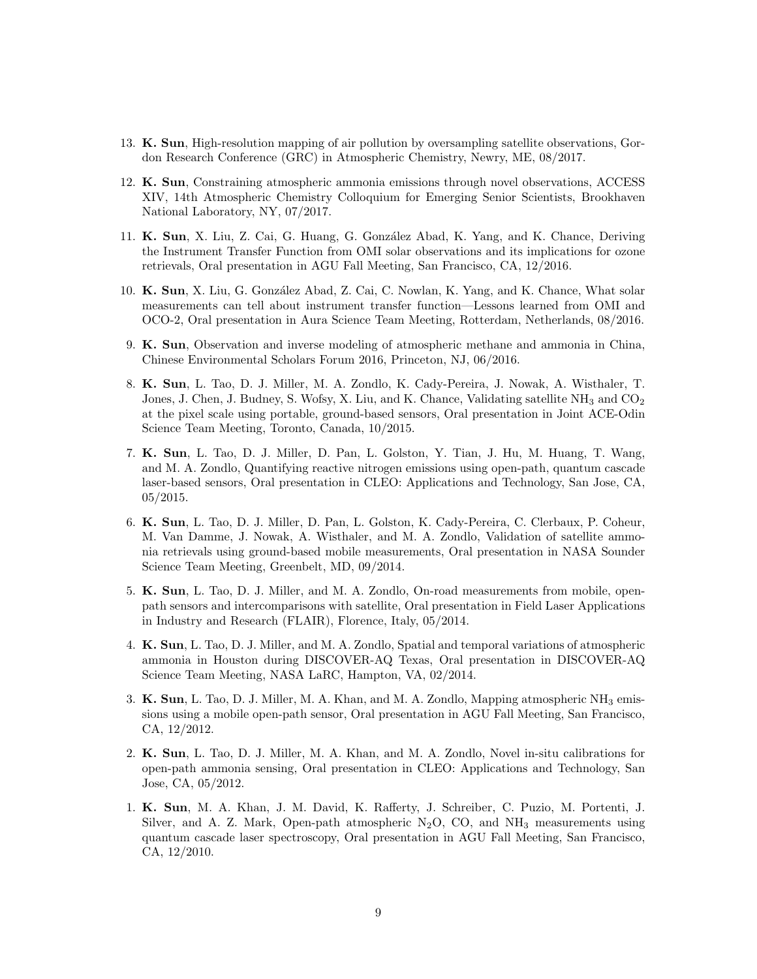- 13. K. Sun, High-resolution mapping of air pollution by oversampling satellite observations, Gordon Research Conference (GRC) in Atmospheric Chemistry, Newry, ME, 08/2017.
- 12. K. Sun, Constraining atmospheric ammonia emissions through novel observations, ACCESS XIV, 14th Atmospheric Chemistry Colloquium for Emerging Senior Scientists, Brookhaven National Laboratory, NY, 07/2017.
- 11. K. Sun, X. Liu, Z. Cai, G. Huang, G. Gonz´alez Abad, K. Yang, and K. Chance, Deriving the Instrument Transfer Function from OMI solar observations and its implications for ozone retrievals, Oral presentation in AGU Fall Meeting, San Francisco, CA, 12/2016.
- 10. K. Sun, X. Liu, G. González Abad, Z. Cai, C. Nowlan, K. Yang, and K. Chance, What solar measurements can tell about instrument transfer function—Lessons learned from OMI and OCO-2, Oral presentation in Aura Science Team Meeting, Rotterdam, Netherlands, 08/2016.
- 9. K. Sun, Observation and inverse modeling of atmospheric methane and ammonia in China, Chinese Environmental Scholars Forum 2016, Princeton, NJ, 06/2016.
- 8. K. Sun, L. Tao, D. J. Miller, M. A. Zondlo, K. Cady-Pereira, J. Nowak, A. Wisthaler, T. Jones, J. Chen, J. Budney, S. Wofsy, X. Liu, and K. Chance, Validating satellite  $NH_3$  and  $CO_2$ at the pixel scale using portable, ground-based sensors, Oral presentation in Joint ACE-Odin Science Team Meeting, Toronto, Canada, 10/2015.
- 7. K. Sun, L. Tao, D. J. Miller, D. Pan, L. Golston, Y. Tian, J. Hu, M. Huang, T. Wang, and M. A. Zondlo, Quantifying reactive nitrogen emissions using open-path, quantum cascade laser-based sensors, Oral presentation in CLEO: Applications and Technology, San Jose, CA, 05/2015.
- 6. K. Sun, L. Tao, D. J. Miller, D. Pan, L. Golston, K. Cady-Pereira, C. Clerbaux, P. Coheur, M. Van Damme, J. Nowak, A. Wisthaler, and M. A. Zondlo, Validation of satellite ammonia retrievals using ground-based mobile measurements, Oral presentation in NASA Sounder Science Team Meeting, Greenbelt, MD, 09/2014.
- 5. K. Sun, L. Tao, D. J. Miller, and M. A. Zondlo, On-road measurements from mobile, openpath sensors and intercomparisons with satellite, Oral presentation in Field Laser Applications in Industry and Research (FLAIR), Florence, Italy, 05/2014.
- 4. K. Sun, L. Tao, D. J. Miller, and M. A. Zondlo, Spatial and temporal variations of atmospheric ammonia in Houston during DISCOVER-AQ Texas, Oral presentation in DISCOVER-AQ Science Team Meeting, NASA LaRC, Hampton, VA, 02/2014.
- 3. K. Sun, L. Tao, D. J. Miller, M. A. Khan, and M. A. Zondlo, Mapping atmospheric NH<sub>3</sub> emissions using a mobile open-path sensor, Oral presentation in AGU Fall Meeting, San Francisco, CA, 12/2012.
- 2. K. Sun, L. Tao, D. J. Miller, M. A. Khan, and M. A. Zondlo, Novel in-situ calibrations for open-path ammonia sensing, Oral presentation in CLEO: Applications and Technology, San Jose, CA, 05/2012.
- 1. K. Sun, M. A. Khan, J. M. David, K. Rafferty, J. Schreiber, C. Puzio, M. Portenti, J. Silver, and A. Z. Mark, Open-path atmospheric  $N_2O$ , CO, and  $NH_3$  measurements using quantum cascade laser spectroscopy, Oral presentation in AGU Fall Meeting, San Francisco, CA, 12/2010.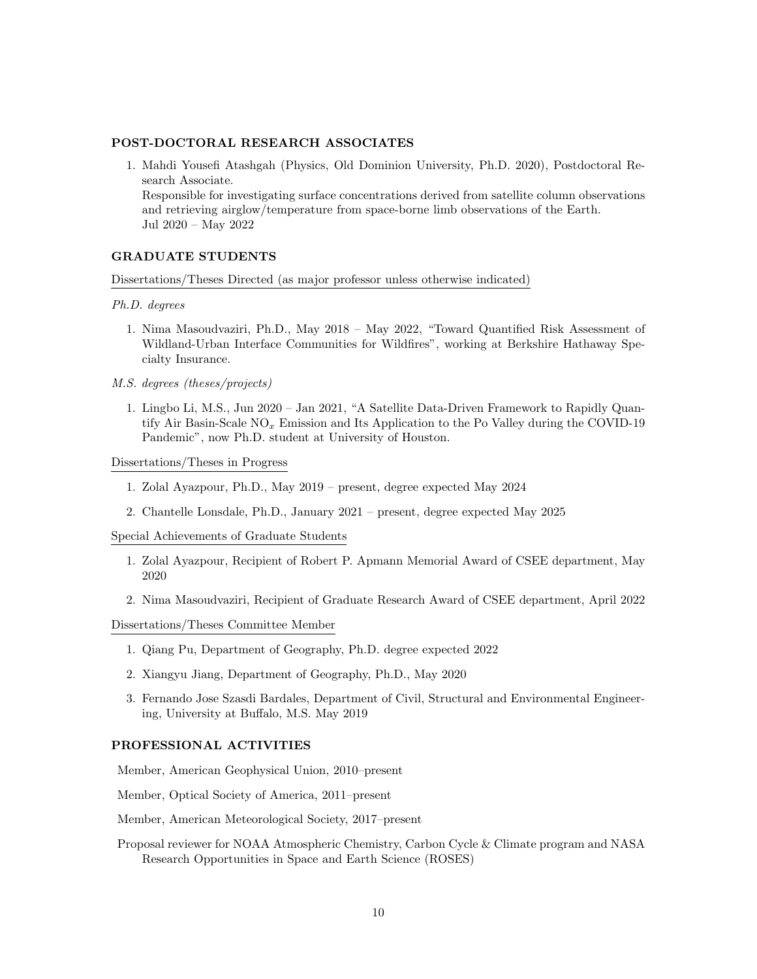## POST-DOCTORAL RESEARCH ASSOCIATES

1. Mahdi Yousefi Atashgah (Physics, Old Dominion University, Ph.D. 2020), Postdoctoral Research Associate. Responsible for investigating surface concentrations derived from satellite column observations and retrieving airglow/temperature from space-borne limb observations of the Earth. Jul 2020 – May 2022

#### GRADUATE STUDENTS

Dissertations/Theses Directed (as major professor unless otherwise indicated)

Ph.D. degrees

- 1. Nima Masoudvaziri, Ph.D., May 2018 May 2022, "Toward Quantified Risk Assessment of Wildland-Urban Interface Communities for Wildfires", working at Berkshire Hathaway Specialty Insurance.
- M.S. degrees (theses/projects)
	- 1. Lingbo Li, M.S., Jun 2020 Jan 2021, "A Satellite Data-Driven Framework to Rapidly Quantify Air Basin-Scale  $NO_x$  Emission and Its Application to the Po Valley during the COVID-19 Pandemic", now Ph.D. student at University of Houston.

Dissertations/Theses in Progress

- 1. Zolal Ayazpour, Ph.D., May 2019 present, degree expected May 2024
- 2. Chantelle Lonsdale, Ph.D., January 2021 present, degree expected May 2025

Special Achievements of Graduate Students

- 1. Zolal Ayazpour, Recipient of Robert P. Apmann Memorial Award of CSEE department, May 2020
- 2. Nima Masoudvaziri, Recipient of Graduate Research Award of CSEE department, April 2022

Dissertations/Theses Committee Member

- 1. Qiang Pu, Department of Geography, Ph.D. degree expected 2022
- 2. Xiangyu Jiang, Department of Geography, Ph.D., May 2020
- 3. Fernando Jose Szasdi Bardales, Department of Civil, Structural and Environmental Engineering, University at Buffalo, M.S. May 2019

#### PROFESSIONAL ACTIVITIES

Member, American Geophysical Union, 2010–present

Member, Optical Society of America, 2011–present

Member, American Meteorological Society, 2017–present

Proposal reviewer for NOAA Atmospheric Chemistry, Carbon Cycle & Climate program and NASA Research Opportunities in Space and Earth Science (ROSES)